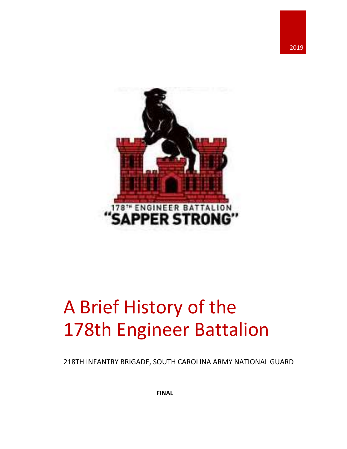



# A Brief History of the 178th Engineer Battalion

218TH INFANTRY BRIGADE, SOUTH CAROLINA ARMY NATIONAL GUARD

**FINAL**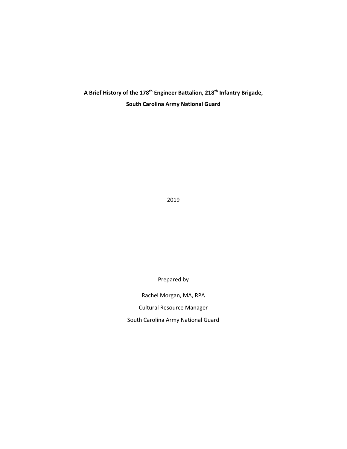**A Brief History of the 178th Engineer Battalion, 218th Infantry Brigade, South Carolina Army National Guard**

2019

Prepared by

Rachel Morgan, MA, RPA Cultural Resource Manager South Carolina Army National Guard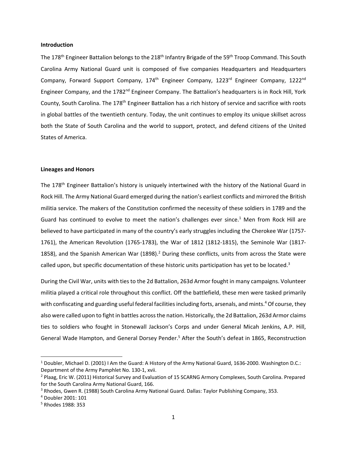## **Introduction**

The 178<sup>th</sup> Engineer Battalion belongs to the 218<sup>th</sup> Infantry Brigade of the 59<sup>th</sup> Troop Command. This South Carolina Army National Guard unit is composed of five companies Headquarters and Headquarters Company, Forward Support Company, 174<sup>th</sup> Engineer Company, 1223<sup>rd</sup> Engineer Company, 1222<sup>nd</sup> Engineer Company, and the 1782<sup>nd</sup> Engineer Company. The Battalion's headquarters is in Rock Hill, York County, South Carolina. The 178<sup>th</sup> Engineer Battalion has a rich history of service and sacrifice with roots in global battles of the twentieth century. Today, the unit continues to employ its unique skillset across both the State of South Carolina and the world to support, protect, and defend citizens of the United States of America.

#### **Lineages and Honors**

The 178<sup>th</sup> Engineer Battalion's history is uniquely intertwined with the history of the National Guard in Rock Hill. The Army National Guard emerged during the nation's earliest conflicts and mirrored the British militia service. The makers of the Constitution confirmed the necessity of these soldiers in 1789 and the Guard has continued to evolve to meet the nation's challenges ever since.<sup>1</sup> Men from Rock Hill are believed to have participated in many of the country's early struggles including the Cherokee War (1757‐ 1761), the American Revolution (1765‐1783), the War of 1812 (1812‐1815), the Seminole War (1817‐ 1858), and the Spanish American War (1898).<sup>2</sup> During these conflicts, units from across the State were called upon, but specific documentation of these historic units participation has yet to be located.<sup>3</sup>

During the Civil War, units with ties to the 2d Battalion, 263d Armor fought in many campaigns. Volunteer militia played a critical role throughout this conflict. Off the battlefield, these men were tasked primarily with confiscating and guarding useful federal facilities including forts, arsenals, and mints.<sup>4</sup> Of course, they also were called upon to fight in battles acrossthe nation. Historically, the 2d Battalion, 263d Armor claims ties to soldiers who fought in Stonewall Jackson's Corps and under General Micah Jenkins, A.P. Hill, General Wade Hampton, and General Dorsey Pender.<sup>5</sup> After the South's defeat in 1865, Reconstruction

<sup>1</sup> Doubler, Michael D. (2001) I Am the Guard: A History of the Army National Guard, 1636‐2000. Washington D.C.: Department of the Army Pamphlet No. 130‐1, xvii.

<sup>&</sup>lt;sup>2</sup> Plaag, Eric W. (2011) Historical Survey and Evaluation of 15 SCARNG Armory Complexes, South Carolina. Prepared for the South Carolina Army National Guard, 166.

<sup>&</sup>lt;sup>3</sup> Rhodes, Gwen R. (1988) South Carolina Army National Guard. Dallas: Taylor Publishing Company, 353.

<sup>4</sup> Doubler 2001: 101

<sup>5</sup> Rhodes 1988: 353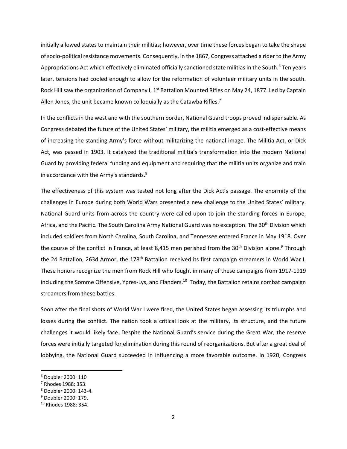initially allowed states to maintain their militias; however, over time these forces began to take the shape of socio-political resistance movements. Consequently, in the 1867, Congress attached a rider to the Army Appropriations Act which effectively eliminated officially sanctioned state militias in the South.<sup>6</sup> Ten years later, tensions had cooled enough to allow for the reformation of volunteer military units in the south. Rock Hill saw the organization of Company I, 1<sup>st</sup> Battalion Mounted Rifles on May 24, 1877. Led by Captain Allen Jones, the unit became known colloquially as the Catawba Rifles.<sup>7</sup>

In the conflicts in the west and with the southern border, National Guard troops proved indispensable. As Congress debated the future of the United States' military, the militia emerged as a cost‐effective means of increasing the standing Army's force without militarizing the national image. The Militia Act, or Dick Act, was passed in 1903. It catalyzed the traditional militia's transformation into the modern National Guard by providing federal funding and equipment and requiring that the militia units organize and train in accordance with the Army's standards.<sup>8</sup>

The effectiveness of this system was tested not long after the Dick Act's passage. The enormity of the challenges in Europe during both World Wars presented a new challenge to the United States' military. National Guard units from across the country were called upon to join the standing forces in Europe, Africa, and the Pacific. The South Carolina Army National Guard was no exception. The 30<sup>th</sup> Division which included soldiers from North Carolina, South Carolina, and Tennessee entered France in May 1918. Over the course of the conflict in France, at least 8,415 men perished from the 30<sup>th</sup> Division alone.<sup>9</sup> Through the 2d Battalion, 263d Armor, the 178<sup>th</sup> Battalion received its first campaign streamers in World War I. These honors recognize the men from Rock Hill who fought in many of these campaigns from 1917‐1919 including the Somme Offensive, Ypres-Lys, and Flanders.<sup>10</sup> Today, the Battalion retains combat campaign streamers from these battles.

Soon after the final shots of World War I were fired, the United States began assessing its triumphs and losses during the conflict. The nation took a critical look at the military, its structure, and the future challenges it would likely face. Despite the National Guard's service during the Great War, the reserve forces were initially targeted for elimination during this round of reorganizations. But after a great deal of lobbying, the National Guard succeeded in influencing a more favorable outcome. In 1920, Congress

<sup>6</sup> Doubler 2000: 110

<sup>7</sup> Rhodes 1988: 353.

<sup>8</sup> Doubler 2000: 143‐4.

<sup>9</sup> Doubler 2000: 179.

<sup>10</sup> Rhodes 1988: 354.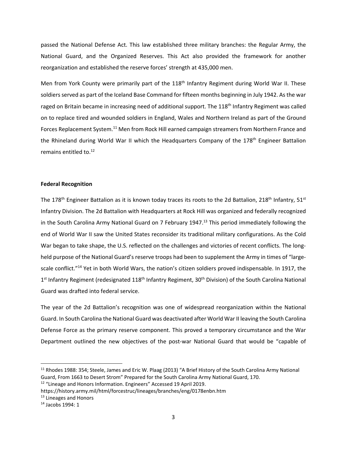passed the National Defense Act. This law established three military branches: the Regular Army, the National Guard, and the Organized Reserves. This Act also provided the framework for another reorganization and established the reserve forces' strength at 435,000 men.

Men from York County were primarily part of the 118<sup>th</sup> Infantry Regiment during World War II. These soldiers served as part of the Iceland Base Command for fifteen months beginning in July 1942. As the war raged on Britain became in increasing need of additional support. The 118<sup>th</sup> Infantry Regiment was called on to replace tired and wounded soldiers in England, Wales and Northern Ireland as part of the Ground Forces Replacement System.<sup>11</sup> Men from Rock Hill earned campaign streamers from Northern France and the Rhineland during World War II which the Headquarters Company of the 178<sup>th</sup> Engineer Battalion remains entitled to.<sup>12</sup>

# **Federal Recognition**

The 178<sup>th</sup> Engineer Battalion as it is known today traces its roots to the 2d Battalion, 218<sup>th</sup> Infantry, 51<sup>st</sup> Infantry Division. The 2d Battalion with Headquarters at Rock Hill was organized and federally recognized in the South Carolina Army National Guard on 7 February 1947.<sup>13</sup> This period immediately following the end of World War II saw the United States reconsider its traditional military configurations. As the Cold War began to take shape, the U.S. reflected on the challenges and victories of recent conflicts. The longheld purpose of the National Guard's reserve troops had been to supplement the Army in times of "largescale conflict."<sup>14</sup> Yet in both World Wars, the nation's citizen soldiers proved indispensable. In 1917, the 1<sup>st</sup> Infantry Regiment (redesignated 118<sup>th</sup> Infantry Regiment, 30<sup>th</sup> Division) of the South Carolina National Guard was drafted into federal service.

The year of the 2d Battalion's recognition was one of widespread reorganization within the National Guard. In South Carolina the National Guard was deactivated after World War II leaving the South Carolina Defense Force as the primary reserve component. This proved a temporary circumstance and the War Department outlined the new objectives of the post‐war National Guard that would be "capable of

<sup>&</sup>lt;sup>11</sup> Rhodes 1988: 354; Steele, James and Eric W. Plaag (2013) "A Brief History of the South Carolina Army National Guard, From 1663 to Desert Strom" Prepared for the South Carolina Army National Guard, 170.

<sup>&</sup>lt;sup>12</sup> "Lineage and Honors Information. Engineers" Accessed 19 April 2019.

https://history.army.mil/html/forcestruc/lineages/branches/eng/0178enbn.htm

<sup>13</sup> Lineages and Honors

<sup>14</sup> Jacobs 1994: 1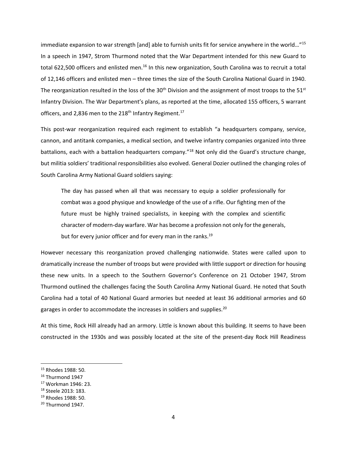immediate expansion to war strength [and] able to furnish units fit for service anywhere in the world…"15 In a speech in 1947, Strom Thurmond noted that the War Department intended for this new Guard to total 622,500 officers and enlisted men.<sup>16</sup> In this new organization, South Carolina was to recruit a total of 12,146 officers and enlisted men – three times the size of the South Carolina National Guard in 1940. The reorganization resulted in the loss of the  $30<sup>th</sup>$  Division and the assignment of most troops to the  $51<sup>st</sup>$ Infantry Division. The War Department's plans, as reported at the time, allocated 155 officers, 5 warrant officers, and 2,836 men to the 218<sup>th</sup> Infantry Regiment.<sup>17</sup>

This post-war reorganization required each regiment to establish "a headquarters company, service, cannon, and antitank companies, a medical section, and twelve infantry companies organized into three battalions, each with a battalion headquarters company."<sup>18</sup> Not only did the Guard's structure change, but militia soldiers' traditional responsibilities also evolved. General Dozier outlined the changing roles of South Carolina Army National Guard soldiers saying:

The day has passed when all that was necessary to equip a soldier professionally for combat was a good physique and knowledge of the use of a rifle. Our fighting men of the future must be highly trained specialists, in keeping with the complex and scientific character of modern‐day warfare. War has become a profession not only for the generals, but for every junior officer and for every man in the ranks.<sup>19</sup>

However necessary this reorganization proved challenging nationwide. States were called upon to dramatically increase the number of troops but were provided with little support or direction for housing these new units. In a speech to the Southern Governor's Conference on 21 October 1947, Strom Thurmond outlined the challenges facing the South Carolina Army National Guard. He noted that South Carolina had a total of 40 National Guard armories but needed at least 36 additional armories and 60 garages in order to accommodate the increases in soldiers and supplies.<sup>20</sup>

At this time, Rock Hill already had an armory. Little is known about this building. It seems to have been constructed in the 1930s and was possibly located at the site of the present-day Rock Hill Readiness

<sup>15</sup> Rhodes 1988: 50.

<sup>&</sup>lt;sup>16</sup> Thurmond 1947

<sup>17</sup> Workman 1946: 23.

<sup>18</sup> Steele 2013: 183.

<sup>19</sup> Rhodes 1988: 50.

 $20$  Thurmond 1947.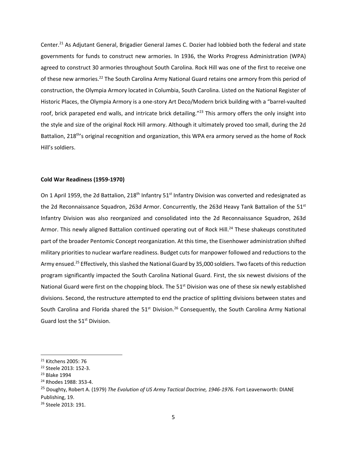Center.<sup>21</sup> As Adjutant General, Brigadier General James C. Dozier had lobbied both the federal and state governments for funds to construct new armories. In 1936, the Works Progress Administration (WPA) agreed to construct 30 armories throughout South Carolina. Rock Hill was one of the first to receive one of these new armories.<sup>22</sup> The South Carolina Army National Guard retains one armory from this period of construction, the Olympia Armory located in Columbia, South Carolina. Listed on the National Register of Historic Places, the Olympia Armory is a one‐story Art Deco/Modern brick building with a "barrel‐vaulted roof, brick parapeted end walls, and intricate brick detailing."<sup>23</sup> This armory offers the only insight into the style and size of the original Rock Hill armory. Although it ultimately proved too small, during the 2d Battalion, 218<sup>th'</sup>s original recognition and organization, this WPA era armory served as the home of Rock Hill's soldiers.

## **Cold War Readiness (1959‐1970)**

On 1 April 1959, the 2d Battalion, 218<sup>th</sup> Infantry 51<sup>st</sup> Infantry Division was converted and redesignated as the 2d Reconnaissance Squadron, 263d Armor. Concurrently, the 263d Heavy Tank Battalion of the 51<sup>st</sup> Infantry Division was also reorganized and consolidated into the 2d Reconnaissance Squadron, 263d Armor. This newly aligned Battalion continued operating out of Rock Hill.<sup>24</sup> These shakeups constituted part of the broader Pentomic Concept reorganization. At this time, the Eisenhower administration shifted military priorities to nuclear warfare readiness. Budget cuts for manpower followed and reductions to the Army ensued.<sup>25</sup> Effectively, this slashed the National Guard by 35,000 soldiers. Two facets of this reduction program significantly impacted the South Carolina National Guard. First, the six newest divisions of the National Guard were first on the chopping block. The 51<sup>st</sup> Division was one of these six newly established divisions. Second, the restructure attempted to end the practice of splitting divisions between states and South Carolina and Florida shared the  $51<sup>st</sup>$  Division.<sup>26</sup> Consequently, the South Carolina Army National Guard lost the 51<sup>st</sup> Division.

<sup>21</sup> Kitchens 2005: 76

<sup>22</sup> Steele 2013: 152‐3.

<sup>23</sup> Blake 1994

<sup>24</sup> Rhodes 1988: 353‐4.

<sup>25</sup> Doughty, Robert A. (1979) *The Evolution of US Army Tactical Doctrine, 1946‐1976.* Fort Leavenworth: DIANE Publishing, 19.

<sup>26</sup> Steele 2013: 191.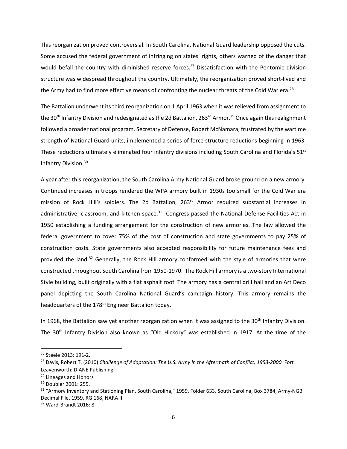This reorganization proved controversial. In South Carolina, National Guard leadership opposed the cuts. Some accused the federal government of infringing on states' rights, others warned of the danger that would befall the country with diminished reserve forces.<sup>27</sup> Dissatisfaction with the Pentomic division structure was widespread throughout the country. Ultimately, the reorganization proved short‐lived and the Army had to find more effective means of confronting the nuclear threats of the Cold War era.<sup>28</sup>

The Battalion underwent its third reorganization on 1 April 1963 when it was relieved from assignment to the 30<sup>th</sup> Infantry Division and redesignated as the 2d Battalion, 263<sup>rd</sup> Armor.<sup>29</sup> Once again this realignment followed a broader national program. Secretary of Defense, Robert McNamara, frustrated by the wartime strength of National Guard units, implemented a series of force structure reductions beginning in 1963. These reductions ultimately eliminated four infantry divisions including South Carolina and Florida's  $51<sup>st</sup>$ Infantry Division.30

A year after this reorganization, the South Carolina Army National Guard broke ground on a new armory. Continued increases in troops rendered the WPA armory built in 1930s too small for the Cold War era mission of Rock Hill's soldiers. The 2d Battalion, 263<sup>rd</sup> Armor required substantial increases in administrative, classroom, and kitchen space.<sup>31</sup> Congress passed the National Defense Facilities Act in 1950 establishing a funding arrangement for the construction of new armories. The law allowed the federal government to cover 75% of the cost of construction and state governments to pay 25% of construction costs. State governments also accepted responsibility for future maintenance fees and provided the land.<sup>32</sup> Generally, the Rock Hill armory conformed with the style of armories that were constructed throughout South Carolina from 1950‐1970. The Rock Hill armory is a two‐story International Style building, built originally with a flat asphalt roof. The armory has a central drill hall and an Art Deco panel depicting the South Carolina National Guard's campaign history. This armory remains the headquarters of the 178<sup>th</sup> Engineer Battalion today.

In 1968, the Battalion saw yet another reorganization when it was assigned to the 30<sup>th</sup> Infantry Division. The 30<sup>th</sup> Infantry Division also known as "Old Hickory" was established in 1917. At the time of the

<sup>27</sup> Steele 2013: 191‐2.

<sup>28</sup> Davis, Robert T. (2010) *Challenge of Adaptation: The U.S. Army in the Aftermath of Conflict, 1953‐2000.* Fort Leavenworth: DIANE Publishing.

<sup>&</sup>lt;sup>29</sup> Lineages and Honors

<sup>30</sup> Doubler 2001: 255.

 $31$  "Armory Inventory and Stationing Plan, South Carolina," 1959, Folder 633, South Carolina, Box 3784, Army-NGB Decimal File, 1959, RG 168, NARA II.

<sup>32</sup> Ward‐Brandt 2016: 8.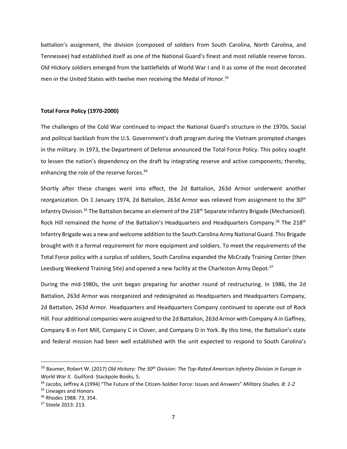battalion's assignment, the division (composed of soldiers from South Carolina, North Carolina, and Tennessee) had established itself as one of the National Guard's finest and most reliable reserve forces. Old Hickory soldiers emerged from the battlefields of World War I and II as some of the most decorated men in the United States with twelve men receiving the Medal of Honor.<sup>33</sup>

## **Total Force Policy (1970‐2000)**

The challenges of the Cold War continued to impact the National Guard's structure in the 1970s. Social and political backlash from the U.S. Government's draft program during the Vietnam prompted changes in the military. In 1973, the Department of Defense announced the Total Force Policy. This policy sought to lessen the nation's dependency on the draft by integrating reserve and active components; thereby, enhancing the role of the reserve forces.<sup>34</sup>

Shortly after these changes went into effect, the 2d Battalion, 263d Armor underwent another reorganization. On 1 January 1974, 2d Battalion, 263d Armor was relieved from assignment to the 30<sup>th</sup> Infantry Division.<sup>35</sup> The Battalion became an element of the 218<sup>th</sup> Separate Infantry Brigade (Mechanized). Rock Hill remained the home of the Battalion's Headquarters and Headquarters Company.<sup>36</sup> The 218<sup>th</sup> Infantry Brigade was a new and welcome addition to the South Carolina Army National Guard. This Brigade brought with it a formal requirement for more equipment and soldiers. To meet the requirements of the Total Force policy with a surplus of soldiers, South Carolina expanded the McCrady Training Center (then Leesburg Weekend Training Site) and opened a new facility at the Charleston Army Depot.<sup>37</sup>

During the mid‐1980s, the unit began preparing for another round of restructuring. In 1986, the 2d Battalion, 263d Armor was reorganized and redesignated as Headquarters and Headquarters Company, 2d Battalion, 263d Armor. Headquarters and Headquarters Company continued to operate out of Rock Hill. Four additional companies were assigned to the 2d Battalion, 263d Armor with Company A in Gaffney, Company B in Fort Mill, Company C in Clover, and Company D in York. By this time, the Battalion's state and federal mission had been well established with the unit expected to respond to South Carolina's

<sup>33</sup> Baumer, Robert W. (2017) *Old Hickory: The 30th Division: The Top‐Rated American Infantry Division in Europe in World War II.* Guilford: Stackpole Books, 5.

<sup>34</sup> Jacobs, Jeffrey A (1994) "The Future of the Citizen‐Soldier Force: Issues and Answers" *Military Studies. 8: 1‐2*

<sup>&</sup>lt;sup>35</sup> Lineages and Honors

<sup>36</sup> Rhodes 1988: 73, 354.

<sup>37</sup> Steele 2013: 213.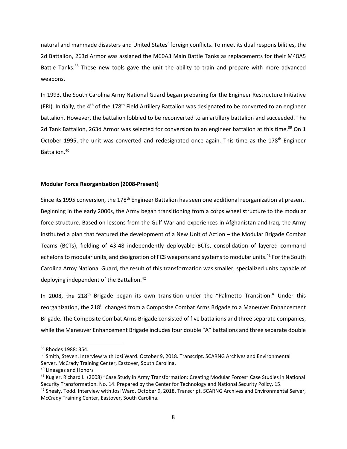natural and manmade disasters and United States' foreign conflicts. To meet its dual responsibilities, the 2d Battalion, 263d Armor was assigned the M60A3 Main Battle Tanks as replacements for their M48A5 Battle Tanks.<sup>38</sup> These new tools gave the unit the ability to train and prepare with more advanced weapons.

In 1993, the South Carolina Army National Guard began preparing for the Engineer Restructure Initiative (ERI). Initially, the 4<sup>th</sup> of the 178<sup>th</sup> Field Artillery Battalion was designated to be converted to an engineer battalion. However, the battalion lobbied to be reconverted to an artillery battalion and succeeded. The 2d Tank Battalion, 263d Armor was selected for conversion to an engineer battalion at this time.<sup>39</sup> On 1 October 1995, the unit was converted and redesignated once again. This time as the 178<sup>th</sup> Engineer Battalion.40

## **Modular Force Reorganization (2008‐Present)**

Since its 1995 conversion, the 178<sup>th</sup> Engineer Battalion has seen one additional reorganization at present. Beginning in the early 2000s, the Army began transitioning from a corps wheel structure to the modular force structure. Based on lessons from the Gulf War and experiences in Afghanistan and Iraq, the Army instituted a plan that featured the development of a New Unit of Action – the Modular Brigade Combat Teams (BCTs), fielding of 43‐48 independently deployable BCTs, consolidation of layered command echelons to modular units, and designation of FCS weapons and systems to modular units.<sup>41</sup> For the South Carolina Army National Guard, the result of this transformation was smaller, specialized units capable of deploying independent of the Battalion.<sup>42</sup>

In 2008, the 218<sup>th</sup> Brigade began its own transition under the "Palmetto Transition." Under this reorganization, the 218<sup>th</sup> changed from a Composite Combat Arms Brigade to a Maneuver Enhancement Brigade. The Composite Combat Arms Brigade consisted of five battalions and three separate companies, while the Maneuver Enhancement Brigade includes four double "A" battalions and three separate double

<sup>38</sup> Rhodes 1988: 354.

<sup>&</sup>lt;sup>39</sup> Smith, Steven. Interview with Josi Ward. October 9, 2018. Transcript. SCARNG Archives and Environmental Server, McCrady Training Center, Eastover, South Carolina.

<sup>&</sup>lt;sup>40</sup> Lineages and Honors

<sup>&</sup>lt;sup>41</sup> Kugler, Richard L. (2008) "Case Study in Army Transformation: Creating Modular Forces" Case Studies in National Security Transformation. No. 14. Prepared by the Center for Technology and National Security Policy, 15.

<sup>&</sup>lt;sup>42</sup> Shealy, Todd. Interview with Josi Ward. October 9, 2018. Transcript. SCARNG Archives and Environmental Server, McCrady Training Center, Eastover, South Carolina.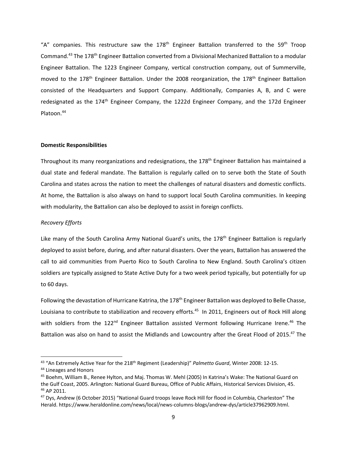"A" companies. This restructure saw the 178<sup>th</sup> Engineer Battalion transferred to the 59<sup>th</sup> Troop Command.43 The 178th Engineer Battalion converted from a Divisional Mechanized Battalion to a modular Engineer Battalion. The 1223 Engineer Company, vertical construction company, out of Summerville, moved to the 178<sup>th</sup> Engineer Battalion. Under the 2008 reorganization, the 178<sup>th</sup> Engineer Battalion consisted of the Headquarters and Support Company. Additionally, Companies A, B, and C were redesignated as the 174<sup>th</sup> Engineer Company, the 1222d Engineer Company, and the 172d Engineer Platoon.44

## **Domestic Responsibilities**

Throughout its many reorganizations and redesignations, the 178<sup>th</sup> Engineer Battalion has maintained a dual state and federal mandate. The Battalion is regularly called on to serve both the State of South Carolina and states across the nation to meet the challenges of natural disasters and domestic conflicts. At home, the Battalion is also always on hand to support local South Carolina communities. In keeping with modularity, the Battalion can also be deployed to assist in foreign conflicts.

# *Recovery Efforts*

Like many of the South Carolina Army National Guard's units, the 178<sup>th</sup> Engineer Battalion is regularly deployed to assist before, during, and after natural disasters. Over the years, Battalion has answered the call to aid communities from Puerto Rico to South Carolina to New England. South Carolina's citizen soldiers are typically assigned to State Active Duty for a two week period typically, but potentially for up to 60 days.

Following the devastation of Hurricane Katrina, the 178<sup>th</sup> Engineer Battalion was deployed to Belle Chasse, Louisiana to contribute to stabilization and recovery efforts.<sup>45</sup> In 2011, Engineers out of Rock Hill along with soldiers from the 122<sup>nd</sup> Engineer Battalion assisted Vermont following Hurricane Irene.<sup>46</sup> The Battalion was also on hand to assist the Midlands and Lowcountry after the Great Flood of 2015.<sup>47</sup> The

<sup>43 &</sup>quot;An Extremely Active Year for the 218<sup>th</sup> Regiment (Leadership)" *Palmetto Guard*, Winter 2008: 12-15.

<sup>44</sup> Lineages and Honors

<sup>45</sup> Boehm, William B., Renee Hylton, and Maj. Thomas W. Mehl (2005) In Katrina's Wake: The National Guard on the Gulf Coast, 2005. Arlington: National Guard Bureau, Office of Public Affairs, Historical Services Division, 45. <sup>46</sup> AP 2011.

<sup>&</sup>lt;sup>47</sup> Dys, Andrew (6 October 2015) "National Guard troops leave Rock Hill for flood in Columbia, Charleston" The Herald. https://www.heraldonline.com/news/local/news‐columns‐blogs/andrew‐dys/article37962909.html.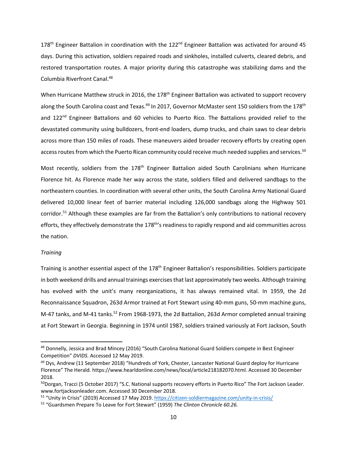178<sup>th</sup> Engineer Battalion in coordination with the 122<sup>nd</sup> Engineer Battalion was activated for around 45 days. During this activation, soldiers repaired roads and sinkholes, installed culverts, cleared debris, and restored transportation routes. A major priority during this catastrophe was stabilizing dams and the Columbia Riverfront Canal.48

When Hurricane Matthew struck in 2016, the 178<sup>th</sup> Engineer Battalion was activated to support recovery along the South Carolina coast and Texas.<sup>49</sup> In 2017, Governor McMaster sent 150 soldiers from the 178<sup>th</sup> and  $122^{nd}$  Engineer Battalions and 60 vehicles to Puerto Rico. The Battalions provided relief to the devastated community using bulldozers, front‐end loaders, dump trucks, and chain saws to clear debris across more than 150 miles of roads. These maneuvers aided broader recovery efforts by creating open access routes from which the Puerto Rican community could receive much needed supplies and services.<sup>50</sup>

Most recently, soldiers from the 178<sup>th</sup> Engineer Battalion aided South Carolinians when Hurricane Florence hit. As Florence made her way across the state, soldiers filled and delivered sandbags to the northeastern counties. In coordination with several other units, the South Carolina Army National Guard delivered 10,000 linear feet of barrier material including 126,000 sandbags along the Highway 501 corridor.51 Although these examples are far from the Battalion's only contributions to national recovery efforts, they effectively demonstrate the 178th's readiness to rapidly respond and aid communities across the nation.

# *Training*

Training is another essential aspect of the 178<sup>th</sup> Engineer Battalion's responsibilities. Soldiers participate in both weekend drills and annual trainings exercisesthat last approximately two weeks. Although training has evolved with the unit's many reorganizations, it has always remained vital. In 1959, the 2d Reconnaissance Squadron, 263d Armor trained at Fort Stewart using 40‐mm guns, 50‐mm machine guns, M-47 tanks, and M-41 tanks.<sup>52</sup> From 1968-1973, the 2d Battalion, 263d Armor completed annual training at Fort Stewart in Georgia. Beginning in 1974 until 1987, soldiers trained variously at Fort Jackson, South

<sup>48</sup> Donnelly, Jessica and Brad Mincey (2016) "South Carolina National Guard Soldiers compete in Best Engineer Competition" *DVIDS.* Accessed 12 May 2019.

<sup>&</sup>lt;sup>49</sup> Dys, Andrew (11 September 2018) "Hundreds of York, Chester, Lancaster National Guard deploy for Hurricane Florence" The Herald. https://www.hearldonline.com/news/local/article218182070.html. Accessed 30 December 2018.

<sup>&</sup>lt;sup>50</sup>Dorgan, Tracci (5 October 2017) "S.C. National supports recovery efforts in Puerto Rico" The Fort Jackson Leader. www.fortjacksonleader.com. Accessed 30 December 2018.

<sup>51 &</sup>quot;Unity in Crisis" (2019) Accessed 17 May 2019. https://citizen-soldiermagazine.com/unity-in-crisis/

<sup>52</sup> "Guardsmen Prepare To Leave for Fort Stewart" (1959) *The Clinton Chronicle 60.26.*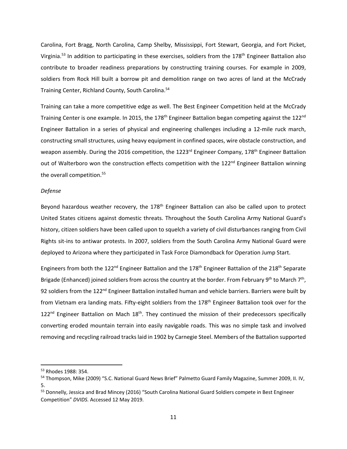Carolina, Fort Bragg, North Carolina, Camp Shelby, Mississippi, Fort Stewart, Georgia, and Fort Picket, Virginia.<sup>53</sup> In addition to participating in these exercises, soldiers from the 178<sup>th</sup> Engineer Battalion also contribute to broader readiness preparations by constructing training courses. For example in 2009, soldiers from Rock Hill built a borrow pit and demolition range on two acres of land at the McCrady Training Center, Richland County, South Carolina.<sup>54</sup>

Training can take a more competitive edge as well. The Best Engineer Competition held at the McCrady Training Center is one example. In 2015, the 178<sup>th</sup> Engineer Battalion began competing against the 122<sup>nd</sup> Engineer Battalion in a series of physical and engineering challenges including a 12‐mile ruck march, constructing small structures, using heavy equipment in confined spaces, wire obstacle construction, and weapon assembly. During the 2016 competition, the 1223<sup>rd</sup> Engineer Company, 178<sup>th</sup> Engineer Battalion out of Walterboro won the construction effects competition with the 122<sup>nd</sup> Engineer Battalion winning the overall competition.<sup>55</sup>

## *Defense*

Beyond hazardous weather recovery, the 178<sup>th</sup> Engineer Battalion can also be called upon to protect United States citizens against domestic threats. Throughout the South Carolina Army National Guard's history, citizen soldiers have been called upon to squelch a variety of civil disturbances ranging from Civil Rights sit-ins to antiwar protests. In 2007, soldiers from the South Carolina Army National Guard were deployed to Arizona where they participated in Task Force Diamondback for Operation Jump Start.

Engineers from both the 122<sup>nd</sup> Engineer Battalion and the 178<sup>th</sup> Engineer Battalion of the 218<sup>th</sup> Separate Brigade (Enhanced) joined soldiers from across the country at the border. From February 9<sup>th</sup> to March 7<sup>th</sup>, 92 soldiers from the 122<sup>nd</sup> Engineer Battalion installed human and vehicle barriers. Barriers were built by from Vietnam era landing mats. Fifty-eight soldiers from the 178<sup>th</sup> Engineer Battalion took over for the  $122<sup>nd</sup>$  Engineer Battalion on Mach  $18<sup>th</sup>$ . They continued the mission of their predecessors specifically converting eroded mountain terrain into easily navigable roads. This was no simple task and involved removing and recycling railroad trackslaid in 1902 by Carnegie Steel. Members of the Battalion supported

<sup>53</sup> Rhodes 1988: 354.

<sup>54</sup> Thompson, Mike (2009) "S.C. National Guard News Brief" Palmetto Guard Family Magazine, Summer 2009, II. IV, 5.

<sup>55</sup> Donnelly, Jessica and Brad Mincey (2016) "South Carolina National Guard Soldiers compete in Best Engineer Competition" *DVIDS.* Accessed 12 May 2019.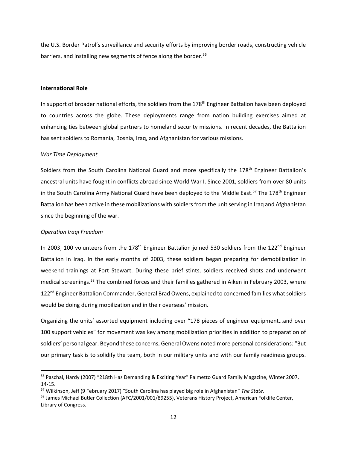the U.S. Border Patrol's surveillance and security efforts by improving border roads, constructing vehicle barriers, and installing new segments of fence along the border.<sup>56</sup>

## **International Role**

In support of broader national efforts, the soldiers from the 178<sup>th</sup> Engineer Battalion have been deployed to countries across the globe. These deployments range from nation building exercises aimed at enhancing ties between global partners to homeland security missions. In recent decades, the Battalion has sent soldiers to Romania, Bosnia, Iraq, and Afghanistan for various missions.

## *War Time Deployment*

Soldiers from the South Carolina National Guard and more specifically the 178<sup>th</sup> Engineer Battalion's ancestral units have fought in conflicts abroad since World War I. Since 2001, soldiers from over 80 units in the South Carolina Army National Guard have been deployed to the Middle East.<sup>57</sup> The 178<sup>th</sup> Engineer Battalion has been active in these mobilizations with soldiers from the unit serving in Iraq and Afghanistan since the beginning of the war.

#### *Operation Iraqi Freedom*

In 2003, 100 volunteers from the 178<sup>th</sup> Engineer Battalion joined 530 soldiers from the 122<sup>nd</sup> Engineer Battalion in Iraq. In the early months of 2003, these soldiers began preparing for demobilization in weekend trainings at Fort Stewart. During these brief stints, soldiers received shots and underwent medical screenings.58 The combined forces and their families gathered in Aiken in February 2003, where 122<sup>nd</sup> Engineer Battalion Commander, General Brad Owens, explained to concerned families what soldiers would be doing during mobilization and in their overseas' mission.

Organizing the units' assorted equipment including over "178 pieces of engineer equipment…and over 100 support vehicles" for movement was key among mobilization priorities in addition to preparation of soldiers' personal gear. Beyond these concerns, General Owens noted more personal considerations: "But our primary task is to solidify the team, both in our military units and with our family readiness groups.

<sup>&</sup>lt;sup>56</sup> Paschal, Hardy (2007) "218th Has Demanding & Exciting Year" Palmetto Guard Family Magazine, Winter 2007, 14‐15.

<sup>57</sup> Wilkinson, Jeff (9 February 2017) "South Carolina has played big role in Afghanistan" *The State.*

<sup>&</sup>lt;sup>58</sup> James Michael Butler Collection (AFC/2001/001/89255), Veterans History Project, American Folklife Center, Library of Congress.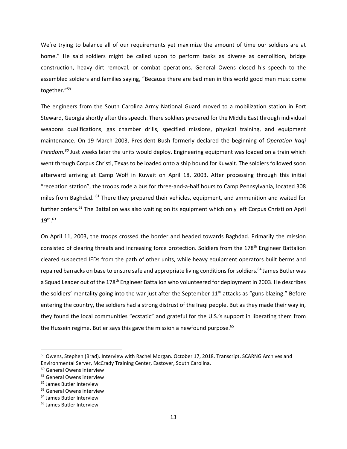We're trying to balance all of our requirements yet maximize the amount of time our soldiers are at home." He said soldiers might be called upon to perform tasks as diverse as demolition, bridge construction, heavy dirt removal, or combat operations. General Owens closed his speech to the assembled soldiers and families saying, "Because there are bad men in this world good men must come together."59

The engineers from the South Carolina Army National Guard moved to a mobilization station in Fort Steward, Georgia shortly after this speech. There soldiers prepared for the Middle East through individual weapons qualifications, gas chamber drills, specified missions, physical training, and equipment maintenance. On 19 March 2003, President Bush formerly declared the beginning of *Operation Iraqi Freedom.60* Just weeks later the units would deploy. Engineering equipment was loaded on a train which went through Corpus Christi, Texas to be loaded onto a ship bound for Kuwait. The soldiers followed soon afterward arriving at Camp Wolf in Kuwait on April 18, 2003. After processing through this initial "reception station", the troops rode a bus for three‐and‐a‐half hours to Camp Pennsylvania, located 308 miles from Baghdad. <sup>61</sup> There they prepared their vehicles, equipment, and ammunition and waited for further orders.62 The Battalion was also waiting on its equipment which only left Corpus Christi on April  $19^{\sf th}$ . $^{63}$ 

On April 11, 2003, the troops crossed the border and headed towards Baghdad. Primarily the mission consisted of clearing threats and increasing force protection. Soldiers from the 178<sup>th</sup> Engineer Battalion cleared suspected IEDs from the path of other units, while heavy equipment operators built berms and repaired barracks on base to ensure safe and appropriate living conditions for soldiers.<sup>64</sup> James Butler was a Squad Leader out of the 178<sup>th</sup> Engineer Battalion who volunteered for deployment in 2003. He describes the soldiers' mentality going into the war just after the September 11<sup>th</sup> attacks as "guns blazing." Before entering the country, the soldiers had a strong distrust of the Iraqi people. But as they made their way in, they found the local communities "ecstatic" and grateful for the U.S.'s support in liberating them from the Hussein regime. Butler says this gave the mission a newfound purpose.<sup>65</sup>

<sup>&</sup>lt;sup>59</sup> Owens, Stephen (Brad). Interview with Rachel Morgan. October 17, 2018. Transcript. SCARNG Archives and Environmental Server, McCrady Training Center, Eastover, South Carolina.

<sup>60</sup> General Owens interview

<sup>&</sup>lt;sup>61</sup> General Owens interview

<sup>62</sup> James Butler Interview

<sup>&</sup>lt;sup>63</sup> General Owens interview

<sup>64</sup> James Butler Interview

<sup>65</sup> James Butler Interview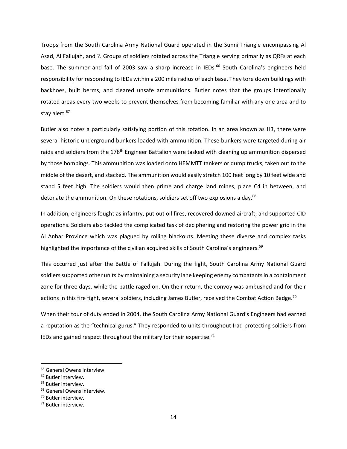Troops from the South Carolina Army National Guard operated in the Sunni Triangle encompassing Al Asad, Al Fallujah, and ?. Groups of soldiers rotated across the Triangle serving primarily as QRFs at each base. The summer and fall of 2003 saw a sharp increase in IEDs.<sup>66</sup> South Carolina's engineers held responsibility for responding to IEDs within a 200 mile radius of each base. They tore down buildings with backhoes, built berms, and cleared unsafe ammunitions. Butler notes that the groups intentionally rotated areas every two weeks to prevent themselves from becoming familiar with any one area and to stay alert.<sup>67</sup>

Butler also notes a particularly satisfying portion of this rotation. In an area known as H3, there were several historic underground bunkers loaded with ammunition. These bunkers were targeted during air raids and soldiers from the 178<sup>th</sup> Engineer Battalion were tasked with cleaning up ammunition dispersed by those bombings. This ammunition was loaded onto HEMMTT tankers or dump trucks, taken out to the middle of the desert, and stacked. The ammunition would easily stretch 100 feet long by 10 feet wide and stand 5 feet high. The soldiers would then prime and charge land mines, place C4 in between, and detonate the ammunition. On these rotations, soldiers set off two explosions a day.<sup>68</sup>

In addition, engineers fought as infantry, put out oil fires, recovered downed aircraft, and supported CID operations. Soldiers also tackled the complicated task of deciphering and restoring the power grid in the Al Anbar Province which was plagued by rolling blackouts. Meeting these diverse and complex tasks highlighted the importance of the civilian acquired skills of South Carolina's engineers.<sup>69</sup>

This occurred just after the Battle of Fallujah. During the fight, South Carolina Army National Guard soldiers supported other units by maintaining a security lane keeping enemy combatants in a containment zone for three days, while the battle raged on. On their return, the convoy was ambushed and for their actions in this fire fight, several soldiers, including James Butler, received the Combat Action Badge.<sup>70</sup>

When their tour of duty ended in 2004, the South Carolina Army National Guard's Engineers had earned a reputation as the "technical gurus." They responded to units throughout Iraq protecting soldiers from IEDs and gained respect throughout the military for their expertise. $71$ 

<sup>&</sup>lt;sup>66</sup> General Owens Interview

<sup>67</sup> Butler interview.

<sup>68</sup> Butler interview.

<sup>&</sup>lt;sup>69</sup> General Owens interview.

<sup>70</sup> Butler interview.

<sup>71</sup> Butler interview.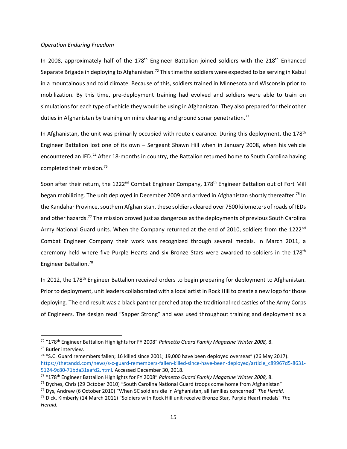## *Operation Enduring Freedom*

In 2008, approximately half of the  $178<sup>th</sup>$  Engineer Battalion joined soldiers with the  $218<sup>th</sup>$  Enhanced Separate Brigade in deploying to Afghanistan.<sup>72</sup> This time the soldiers were expected to be serving in Kabul in a mountainous and cold climate. Because of this, soldiers trained in Minnesota and Wisconsin prior to mobilization. By this time, pre‐deployment training had evolved and soldiers were able to train on simulations for each type of vehicle they would be using in Afghanistan. They also prepared for their other duties in Afghanistan by training on mine clearing and ground sonar penetration.<sup>73</sup>

In Afghanistan, the unit was primarily occupied with route clearance. During this deployment, the  $178<sup>th</sup>$ Engineer Battalion lost one of its own – Sergeant Shawn Hill when in January 2008, when his vehicle encountered an IED.<sup>74</sup> After 18-months in country, the Battalion returned home to South Carolina having completed their mission.75

Soon after their return, the 1222<sup>nd</sup> Combat Engineer Company, 178<sup>th</sup> Engineer Battalion out of Fort Mill began mobilizing. The unit deployed in December 2009 and arrived in Afghanistan shortly thereafter.<sup>76</sup> In the Kandahar Province, southern Afghanistan, these soldiers cleared over 7500 kilometers of roads of IEDs and other hazards.<sup>77</sup> The mission proved just as dangerous as the deployments of previous South Carolina Army National Guard units. When the Company returned at the end of 2010, soldiers from the 1222<sup>nd</sup> Combat Engineer Company their work was recognized through several medals. In March 2011, a ceremony held where five Purple Hearts and six Bronze Stars were awarded to soldiers in the 178<sup>th</sup> Engineer Battalion.78

In 2012, the 178<sup>th</sup> Engineer Battalion received orders to begin preparing for deployment to Afghanistan. Prior to deployment, unit leaders collaborated with a local artist in Rock Hill to create a new logo for those deploying. The end result was a black panther perched atop the traditional red castles of the Army Corps of Engineers. The design read "Sapper Strong" and was used throughout training and deployment as a

<sup>72</sup> "178th Engineer Battalion Highlights for FY 2008" *Palmetto Guard Family Magazine Winter 2008,* 8. <sup>73</sup> Butler interview.

<sup>74</sup> "S.C. Guard remembers fallen; 16 killed since 2001; 19,000 have been deployed overseas" (26 May 2017). https://thetandd.com/news/s-c-guard-remembers-fallen-killed-since-have-been-deployed/article\_c89967d5-8631-5124‐9c80‐71bda31aafd2.html. Accessed December 30, 2018.

<sup>75</sup> "178th Engineer Battalion Highlights for FY 2008" *Palmetto Guard Family Magazine Winter 2008,* 8.

<sup>76</sup> Dyches, Chris (29 October 2010) "South Carolina National Guard troops come home from Afghanistan"

<sup>77</sup> Dys, Andrew (6 October 2010) "When SC soldiers die in Afghanistan, all families concerned" *The Herald.*

<sup>78</sup> Dick, Kimberly (14 March 2011) "Soldiers with Rock Hill unit receive Bronze Star, Purple Heart medals" *The Herald.*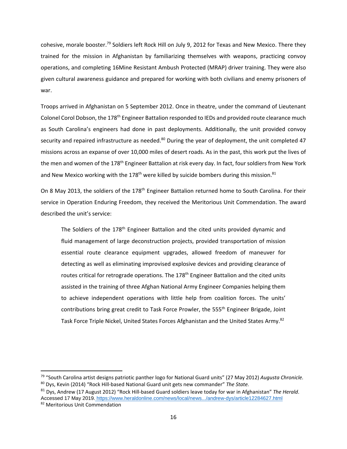cohesive, morale booster.<sup>79</sup> Soldiers left Rock Hill on July 9, 2012 for Texas and New Mexico. There they trained for the mission in Afghanistan by familiarizing themselves with weapons, practicing convoy operations, and completing 16Mine Resistant Ambush Protected (MRAP) driver training. They were also given cultural awareness guidance and prepared for working with both civilians and enemy prisoners of war.

Troops arrived in Afghanistan on 5 September 2012. Once in theatre, under the command of Lieutenant Colonel Corol Dobson, the 178<sup>th</sup> Engineer Battalion responded to IEDs and provided route clearance much as South Carolina's engineers had done in past deployments. Additionally, the unit provided convoy security and repaired infrastructure as needed.<sup>80</sup> During the year of deployment, the unit completed 47 missions across an expanse of over 10,000 miles of desert roads. As in the past, this work put the lives of the men and women of the 178<sup>th</sup> Engineer Battalion at risk every day. In fact, four soldiers from New York and New Mexico working with the 178<sup>th</sup> were killed by suicide bombers during this mission.<sup>81</sup>

On 8 May 2013, the soldiers of the 178<sup>th</sup> Engineer Battalion returned home to South Carolina. For their service in Operation Enduring Freedom, they received the Meritorious Unit Commendation. The award described the unit's service:

The Soldiers of the  $178<sup>th</sup>$  Engineer Battalion and the cited units provided dynamic and fluid management of large deconstruction projects, provided transportation of mission essential route clearance equipment upgrades, allowed freedom of maneuver for detecting as well as eliminating improvised explosive devices and providing clearance of routes critical for retrograde operations. The 178<sup>th</sup> Engineer Battalion and the cited units assisted in the training of three Afghan National Army Engineer Companies helping them to achieve independent operations with little help from coalition forces. The units' contributions bring great credit to Task Force Prowler, the 555<sup>th</sup> Engineer Brigade, Joint Task Force Triple Nickel, United States Forces Afghanistan and the United States Army.<sup>82</sup>

<sup>79</sup> "South Carolina artist designs patriotic panther logo for National Guard units" (27 May 2012) *Augusta Chronicle.*  <sup>80</sup> Dys, Kevin (2014) "Rock Hill‐based National Guard unit gets new commander" *The State.*

<sup>81</sup> Dys, Andrew (17 August 2012) "Rock Hill‐based Guard soldiers leave today for war in Afghanistan" *The Herald*. Accessed 17 May 2019. https://www.heraldonline.com/news/local/news.../andrew-dys/article12284627.html 82 Meritorious Unit Commendation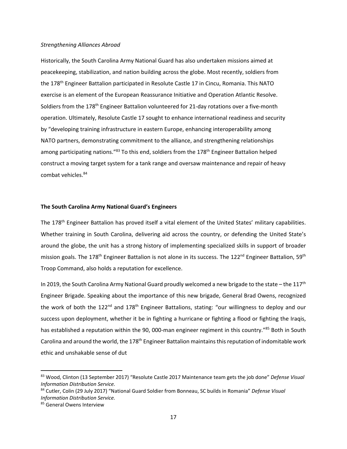#### *Strengthening Alliances Abroad*

Historically, the South Carolina Army National Guard has also undertaken missions aimed at peacekeeping, stabilization, and nation building across the globe. Most recently, soldiers from the 178<sup>th</sup> Engineer Battalion participated in Resolute Castle 17 in Cincu, Romania. This NATO exercise is an element of the European Reassurance Initiative and Operation Atlantic Resolve. Soldiers from the 178<sup>th</sup> Engineer Battalion volunteered for 21-day rotations over a five-month operation. Ultimately, Resolute Castle 17 sought to enhance international readiness and security by "developing training infrastructure in eastern Europe, enhancing interoperability among NATO partners, demonstrating commitment to the alliance, and strengthening relationships among participating nations."<sup>83</sup> To this end, soldiers from the 178<sup>th</sup> Engineer Battalion helped construct a moving target system for a tank range and oversaw maintenance and repair of heavy combat vehicles.<sup>84</sup>

## **The South Carolina Army National Guard's Engineers**

The 178<sup>th</sup> Engineer Battalion has proved itself a vital element of the United States' military capabilities. Whether training in South Carolina, delivering aid across the country, or defending the United State's around the globe, the unit has a strong history of implementing specialized skills in support of broader mission goals. The 178<sup>th</sup> Engineer Battalion is not alone in its success. The 122<sup>nd</sup> Engineer Battalion, 59<sup>th</sup> Troop Command, also holds a reputation for excellence.

In 2019, the South Carolina Army National Guard proudly welcomed a new brigade to the state – the 117<sup>th</sup> Engineer Brigade. Speaking about the importance of this new brigade, General Brad Owens, recognized the work of both the 122<sup>nd</sup> and 178<sup>th</sup> Engineer Battalions, stating: "our willingness to deploy and our success upon deployment, whether it be in fighting a hurricane or fighting a flood or fighting the Iraqis, has established a reputation within the 90, 000-man engineer regiment in this country."<sup>85</sup> Both in South Carolina and around the world, the 178<sup>th</sup> Engineer Battalion maintains this reputation of indomitable work ethic and unshakable sense of dut

<sup>83</sup> Wood, Clinton (13 September 2017) "Resolute Castle 2017 Maintenance team gets the job done" *Defense Visual Information Distribution Service.*

<sup>84</sup> Cutler, Colin (29 July 2017) "National Guard Soldier from Bonneau, SC builds in Romania" *Defense Visual Information Distribution Service.* 

<sup>85</sup> General Owens Interview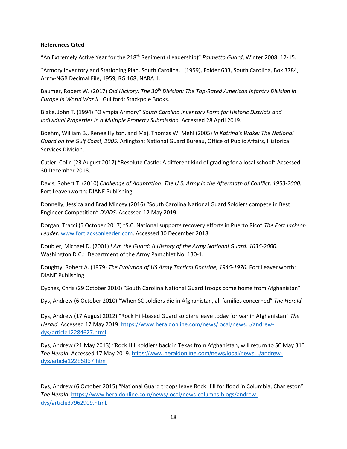# **References Cited**

"An Extremely Active Year for the 218th Regiment (Leadership)" *Palmetto Guard*, Winter 2008: 12‐15.

"Armory Inventory and Stationing Plan, South Carolina," (1959), Folder 633, South Carolina, Box 3784, Army‐NGB Decimal File, 1959, RG 168, NARA II.

Baumer, Robert W. (2017) *Old Hickory: The 30th Division: The Top‐Rated American Infantry Division in Europe in World War II.* Guilford: Stackpole Books.

Blake, John T. (1994) "Olympia Armory" *South Carolina Inventory Form for Historic Districts and Individual Properties in a Multiple Property Submission.* Accessed 28 April 2019.

Boehm, William B., Renee Hylton, and Maj. Thomas W. Mehl (2005) *In Katrina's Wake: The National Guard on the Gulf Coast, 2005.* Arlington: National Guard Bureau, Office of Public Affairs, Historical Services Division.

Cutler, Colin (23 August 2017) "Resolute Castle: A different kind of grading for a local school" Accessed 30 December 2018.

Davis, Robert T. (2010) *Challenge of Adaptation: The U.S. Army in the Aftermath of Conflict, 1953‐2000.* Fort Leavenworth: DIANE Publishing.

Donnelly, Jessica and Brad Mincey (2016) "South Carolina National Guard Soldiers compete in Best Engineer Competition" *DVIDS.* Accessed 12 May 2019.

Dorgan, Tracci (5 October 2017) "S.C. National supports recovery efforts in Puerto Rico" *The Fort Jackson Leader.* www.fortjacksonleader.com. Accessed 30 December 2018.

Doubler, Michael D. (2001) *I Am the Guard: A History of the Army National Guard, 1636‐2000.* Washington D.C.: Department of the Army Pamphlet No. 130‐1.

Doughty, Robert A. (1979) *The Evolution of US Army Tactical Doctrine, 1946‐1976.* Fort Leavenworth: DIANE Publishing.

Dyches, Chris (29 October 2010) "South Carolina National Guard troops come home from Afghanistan"

Dys, Andrew (6 October 2010) "When SC soldiers die in Afghanistan, all families concerned" *The Herald.* 

Dys, Andrew (17 August 2012) "Rock Hill‐based Guard soldiers leave today for war in Afghanistan" *The Herald.* Accessed 17 May 2019. https://www.heraldonline.com/news/local/news.../andrew‐ dys/article12284627.html

Dys, Andrew (21 May 2013) "Rock Hill soldiers back in Texas from Afghanistan, will return to SC May 31" *The Herald.* Accessed 17 May 2019. https://www.heraldonline.com/news/local/news.../andrewdys/article12285857.html

Dys, Andrew (6 October 2015) "National Guard troops leave Rock Hill for flood in Columbia, Charleston" *The Herald.* https://www.heraldonline.com/news/local/news‐columns‐blogs/andrew‐ dys/article37962909.html.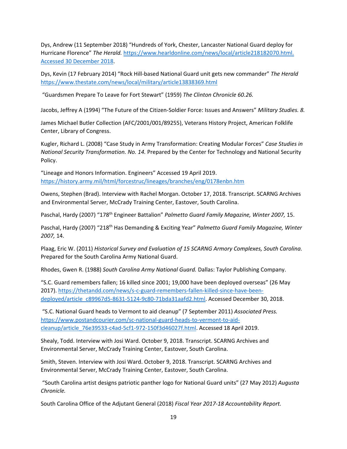Dys, Andrew (11 September 2018) "Hundreds of York, Chester, Lancaster National Guard deploy for Hurricane Florence" *The Herald.* https://www.hearldonline.com/news/local/article218182070.html. Accessed 30 December 2018.

Dys, Kevin (17 February 2014) "Rock Hill‐based National Guard unit gets new commander" *The Herald* https://www.thestate.com/news/local/military/article13838369.html

"Guardsmen Prepare To Leave for Fort Stewart" (1959) *The Clinton Chronicle 60.26.*

Jacobs, Jeffrey A (1994) "The Future of the Citizen‐Soldier Force: Issues and Answers" *Military Studies. 8.*

James Michael Butler Collection (AFC/2001/001/89255), Veterans History Project, American Folklife Center, Library of Congress.

Kugler, Richard L. (2008) "Case Study in Army Transformation: Creating Modular Forces" *Case Studies in National Security Transformation. No. 14.* Prepared by the Center for Technology and National Security Policy.

"Lineage and Honors Information. Engineers" Accessed 19 April 2019. https://history.army.mil/html/forcestruc/lineages/branches/eng/0178enbn.htm

Owens, Stephen (Brad). Interview with Rachel Morgan. October 17, 2018. Transcript. SCARNG Archives and Environmental Server, McCrady Training Center, Eastover, South Carolina.

Paschal, Hardy (2007) "178th Engineer Battalion" *Palmetto Guard Family Magazine, Winter 2007,* 15.

Paschal, Hardy (2007) "218th Has Demanding & Exciting Year" *Palmetto Guard Family Magazine, Winter 2007,* 14.

Plaag, Eric W. (2011) *Historical Survey and Evaluation of 15 SCARNG Armory Complexes, South Carolina.* Prepared for the South Carolina Army National Guard.

Rhodes, Gwen R. (1988) *South Carolina Army National Guard.* Dallas: Taylor Publishing Company.

"S.C. Guard remembers fallen; 16 killed since 2001; 19,000 have been deployed overseas" (26 May 2017). https://thetandd.com/news/s-c-guard-remembers-fallen-killed-since-have-beendeployed/article\_c89967d5-8631-5124-9c80-71bda31aafd2.html. Accessed December 30, 2018.

"S.C. National Guard heads to Vermont to aid cleanup" (7 September 2011) *Associated Press.* https://www.postandcourier.com/sc‐national‐guard‐heads‐to‐vermont‐to‐aid‐ cleanup/article\_76e39533‐c4ad‐5cf1‐972‐150f3d46027f.html. Accessed 18 April 2019.

Shealy, Todd. Interview with Josi Ward. October 9, 2018. Transcript. SCARNG Archives and Environmental Server, McCrady Training Center, Eastover, South Carolina.

Smith, Steven. Interview with Josi Ward. October 9, 2018. Transcript. SCARNG Archives and Environmental Server, McCrady Training Center, Eastover, South Carolina.

"South Carolina artist designs patriotic panther logo for National Guard units" (27 May 2012) *Augusta Chronicle.*

South Carolina Office of the Adjutant General (2018) *Fiscal Year 2017‐18 Accountability Report.*